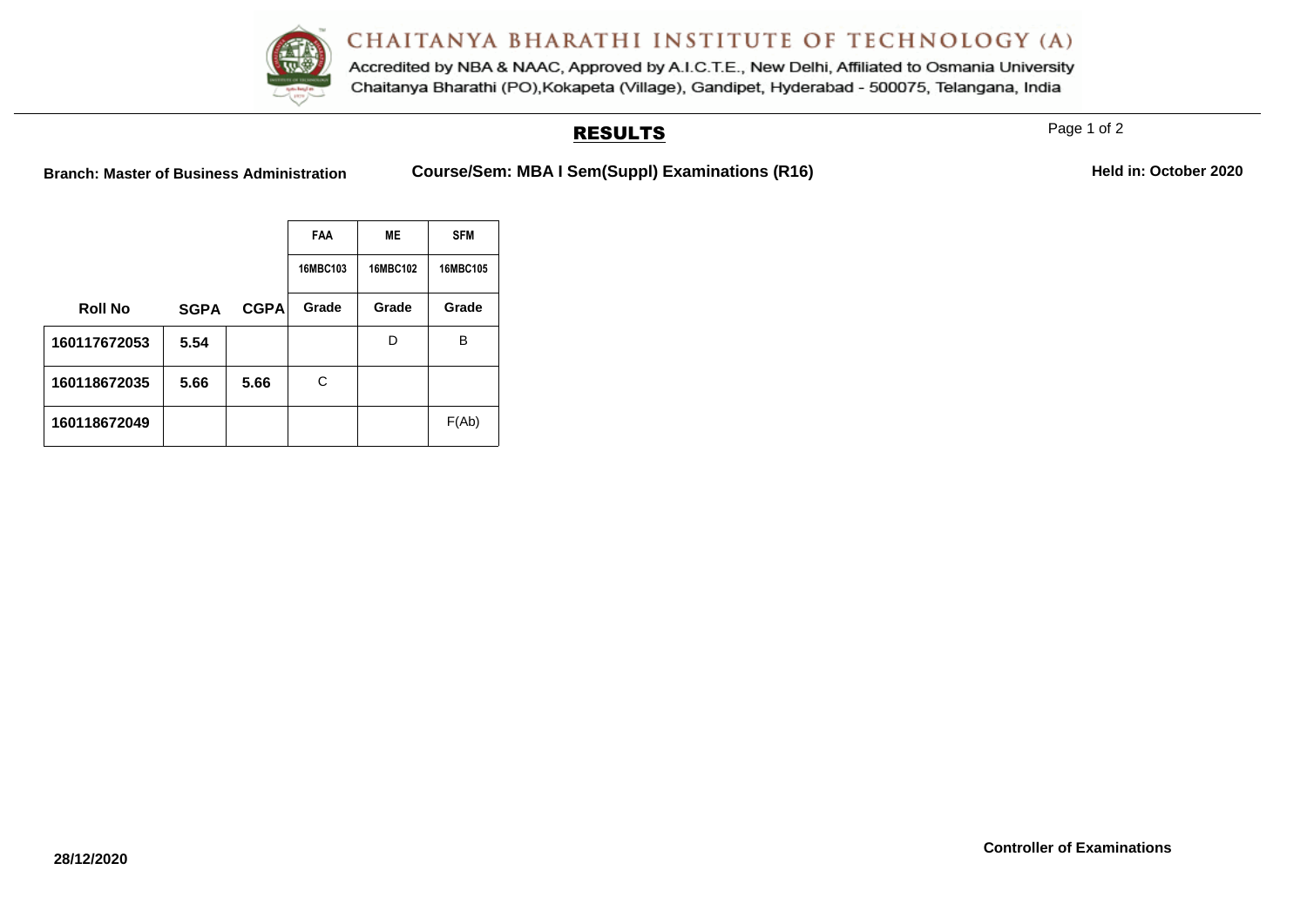Accredited by NBA & NAAC, Approved by A.I.C.T.E., New Delhi, Affiliated to Osmania University Chaitanya Bharathi (PO), Kokapeta (Village), Gandipet, Hyderabad - 500075, Telangana, India

## RESULTS

Page 1 of 2

Branch: Master of Business Administration **Course/Sem: MBA I Sem(Suppl) Examinations (R16)** Held in: October 2020

|                |             |             | <b>FAA</b><br>ME |          | <b>SFM</b> |  |
|----------------|-------------|-------------|------------------|----------|------------|--|
|                |             |             | 16MBC103         | 16MBC102 | 16MBC105   |  |
| <b>Roll No</b> | <b>SGPA</b> | <b>CGPA</b> | Grade            | Grade    | Grade      |  |
| 160117672053   | 5.54        |             |                  | D        | В          |  |
| 160118672035   | 5.66        | 5.66        | С                |          |            |  |
| 160118672049   |             |             |                  |          | F(Ab)      |  |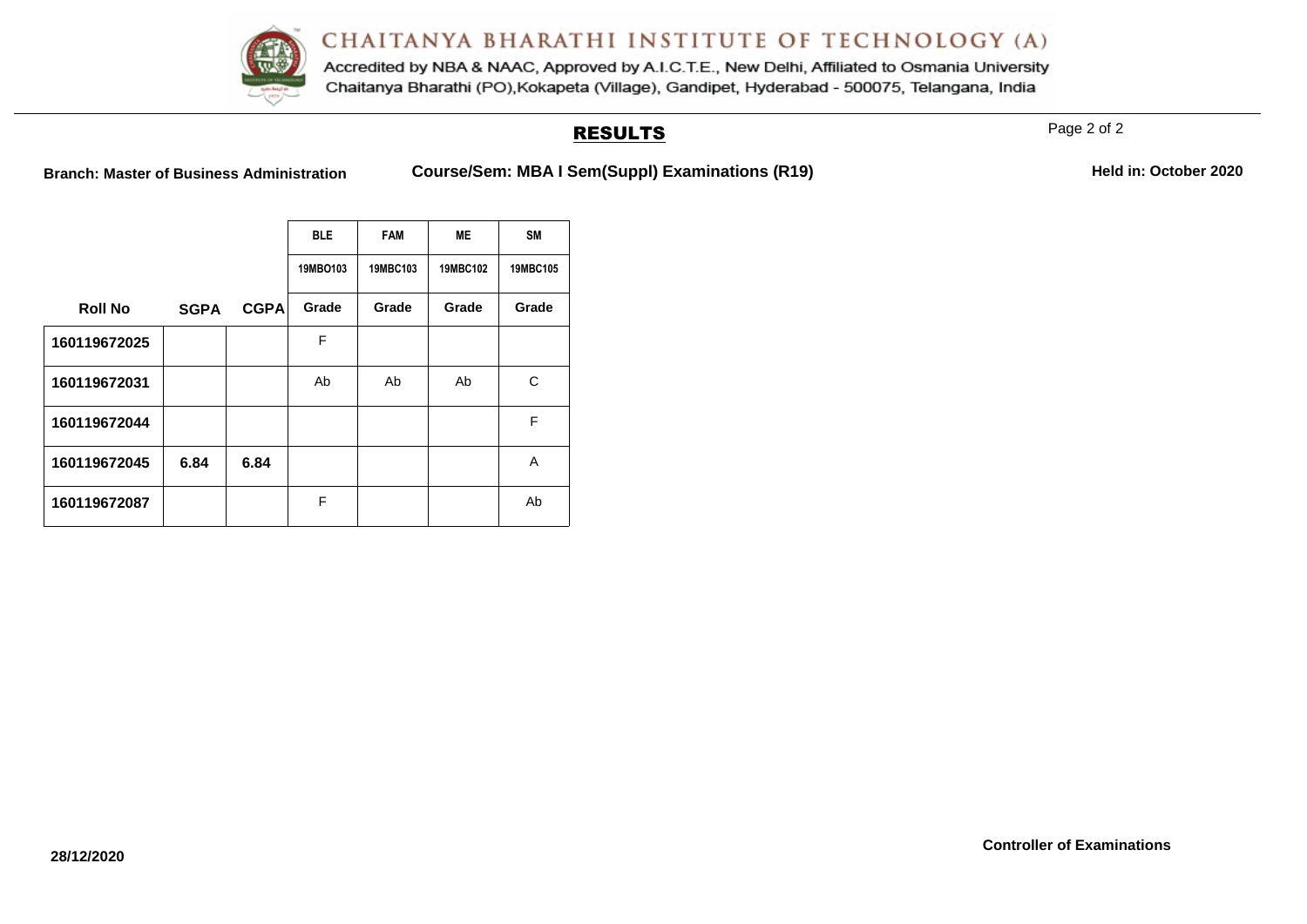

Accredited by NBA & NAAC, Approved by A.I.C.T.E., New Delhi, Affiliated to Osmania University Chaitanya Bharathi (PO), Kokapeta (Village), Gandipet, Hyderabad - 500075, Telangana, India

## RESULTS

Page 2 of 2

Branch: Master of Business Administration **Course/Sem: MBA I Sem(Suppl) Examinations (R19)** Held in: October 2020

|                |             |             | <b>BLE</b> | <b>FAM</b> | ME       | <b>SM</b> |
|----------------|-------------|-------------|------------|------------|----------|-----------|
|                |             |             | 19MBO103   | 19MBC103   | 19MBC102 | 19MBC105  |
| <b>Roll No</b> | <b>SGPA</b> | <b>CGPA</b> | Grade      | Grade      | Grade    | Grade     |
| 160119672025   |             |             | F          |            |          |           |
| 160119672031   |             |             | Ab         | Ab         | Ab       | C         |
| 160119672044   |             |             |            |            |          | F         |
| 160119672045   | 6.84        | 6.84        |            |            |          | A         |
| 160119672087   |             |             | F          |            |          | Ab        |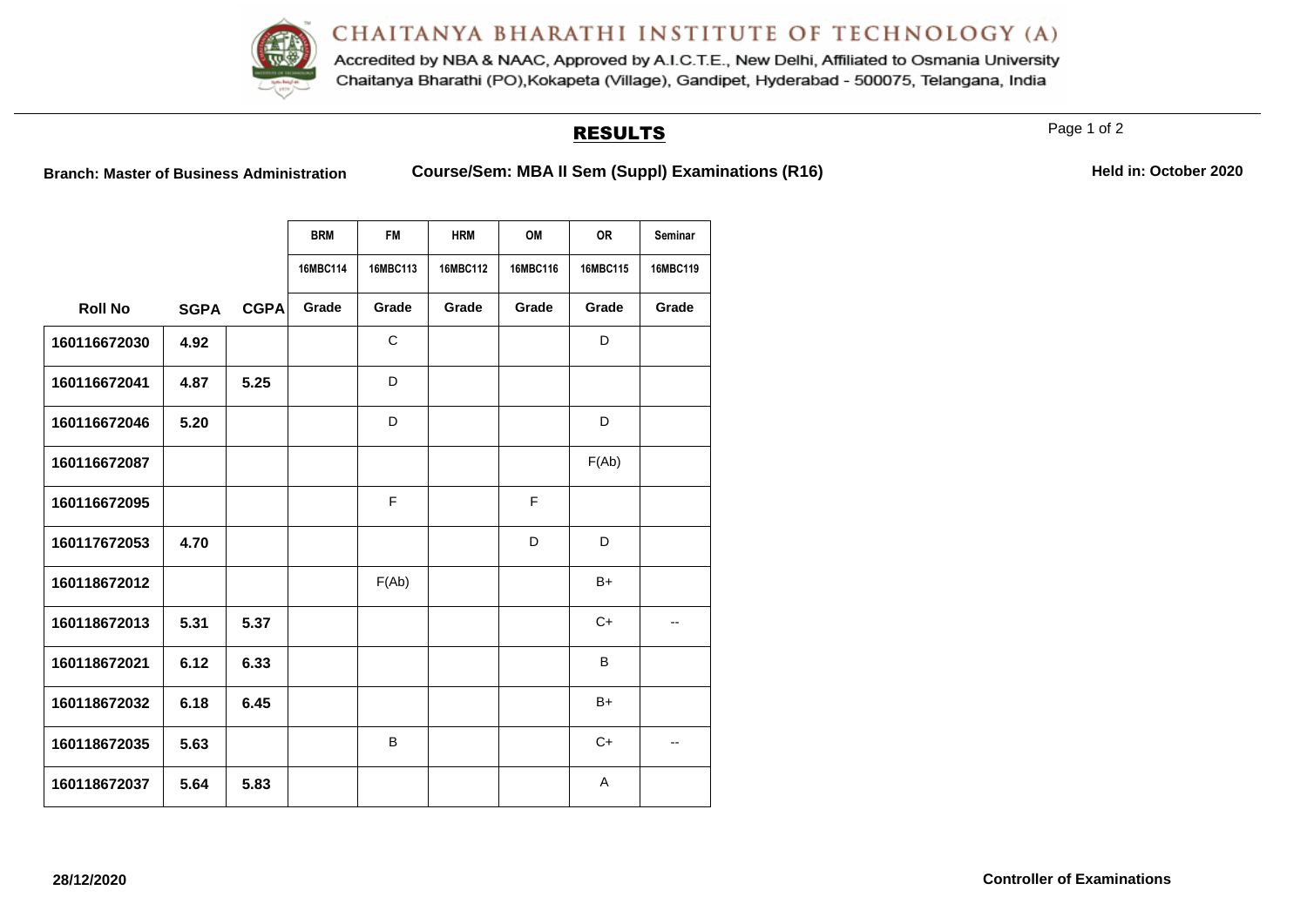Accredited by NBA & NAAC, Approved by A.I.C.T.E., New Delhi, Affiliated to Osmania University Chaitanya Bharathi (PO), Kokapeta (Village), Gandipet, Hyderabad - 500075, Telangana, India

### RESULTS

Page 1 of 2

**Branch: Master of Business Administration <b>Course/Sem: MBA II Sem (Suppl) Examinations (R16)** 

|  |  | Held in: October 2020 |  |
|--|--|-----------------------|--|
|--|--|-----------------------|--|

|                |             |             | <b>BRM</b> | <b>FM</b> | <b>HRM</b> | OM       | <b>OR</b> | Seminar  |
|----------------|-------------|-------------|------------|-----------|------------|----------|-----------|----------|
|                |             |             | 16MBC114   | 16MBC113  | 16MBC112   | 16MBC116 | 16MBC115  | 16MBC119 |
| <b>Roll No</b> | <b>SGPA</b> | <b>CGPA</b> | Grade      | Grade     | Grade      | Grade    | Grade     | Grade    |
| 160116672030   | 4.92        |             |            | C         |            |          | D         |          |
| 160116672041   | 4.87        | 5.25        |            | D         |            |          |           |          |
| 160116672046   | 5.20        |             |            | D         |            |          | D         |          |
| 160116672087   |             |             |            |           |            |          | F(Ab)     |          |
| 160116672095   |             |             |            | F         |            | F        |           |          |
| 160117672053   | 4.70        |             |            |           |            | D        | D         |          |
| 160118672012   |             |             |            | F(Ab)     |            |          | $B+$      |          |
| 160118672013   | 5.31        | 5.37        |            |           |            |          | $C+$      | --       |
| 160118672021   | 6.12        | 6.33        |            |           |            |          | B         |          |
| 160118672032   | 6.18        | 6.45        |            |           |            |          | $B+$      |          |
| 160118672035   | 5.63        |             |            | B         |            |          | $C+$      | --       |
| 160118672037   | 5.64        | 5.83        |            |           |            |          | Α         |          |